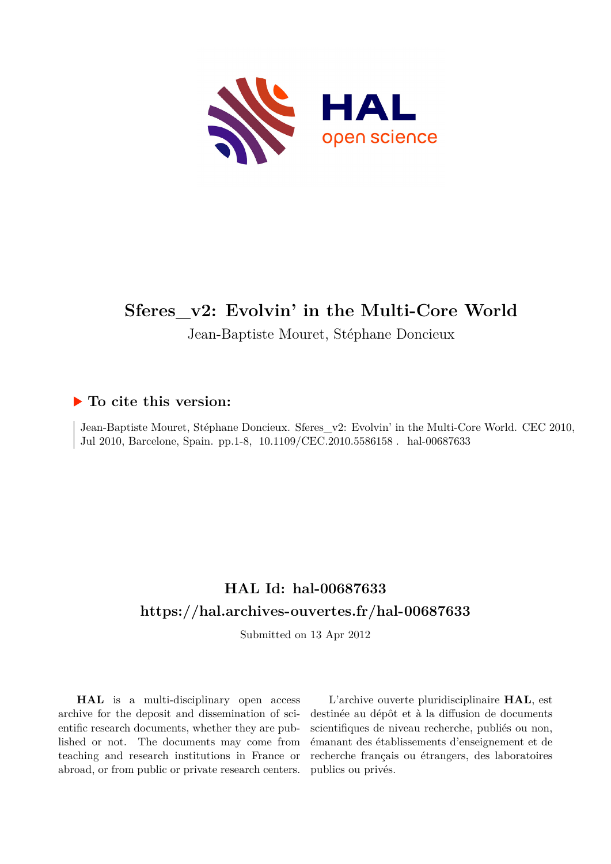

# **Sferes\_v2: Evolvin' in the Multi-Core World**

Jean-Baptiste Mouret, Stéphane Doncieux

# **To cite this version:**

Jean-Baptiste Mouret, Stéphane Doncieux. Sferes\_v2: Evolvin' in the Multi-Core World. CEC 2010, Jul 2010, Barcelone, Spain. pp.1-8, 10.1109/CEC.2010.5586158. hal-00687633

# **HAL Id: hal-00687633 <https://hal.archives-ouvertes.fr/hal-00687633>**

Submitted on 13 Apr 2012

**HAL** is a multi-disciplinary open access archive for the deposit and dissemination of scientific research documents, whether they are published or not. The documents may come from teaching and research institutions in France or abroad, or from public or private research centers.

L'archive ouverte pluridisciplinaire **HAL**, est destinée au dépôt et à la diffusion de documents scientifiques de niveau recherche, publiés ou non, émanant des établissements d'enseignement et de recherche français ou étrangers, des laboratoires publics ou privés.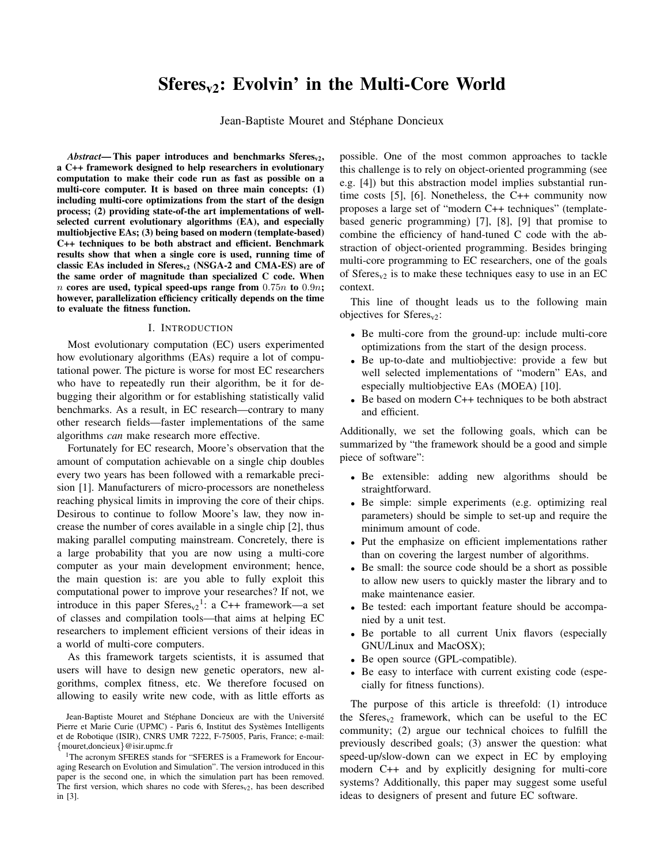# $Sferes<sub>v2</sub>: Evolvin'$  in the Multi-Core World

Jean-Baptiste Mouret and Stéphane Doncieux

 $Abstract$ — This paper introduces and benchmarks Sferes<sub>v2</sub>, a C++ framework designed to help researchers in evolutionary computation to make their code run as fast as possible on a multi-core computer. It is based on three main concepts: (1) including multi-core optimizations from the start of the design process; (2) providing state-of-the art implementations of wellselected current evolutionary algorithms (EA), and especially multiobjective EAs; (3) being based on modern (template-based) C++ techniques to be both abstract and efficient. Benchmark results show that when a single core is used, running time of classic EAs included in  $Sferes_{v2}$  (NSGA-2 and CMA-ES) are of the same order of magnitude than specialized C code. When  $n$  cores are used, typical speed-ups range from  $0.75n$  to  $0.9n$ ; however, parallelization efficiency critically depends on the time to evaluate the fitness function.

#### I. INTRODUCTION

Most evolutionary computation (EC) users experimented how evolutionary algorithms (EAs) require a lot of computational power. The picture is worse for most EC researchers who have to repeatedly run their algorithm, be it for debugging their algorithm or for establishing statistically valid benchmarks. As a result, in EC research—contrary to many other research fields—faster implementations of the same algorithms *can* make research more effective.

Fortunately for EC research, Moore's observation that the amount of computation achievable on a single chip doubles every two years has been followed with a remarkable precision [1]. Manufacturers of micro-processors are nonetheless reaching physical limits in improving the core of their chips. Desirous to continue to follow Moore's law, they now increase the number of cores available in a single chip [2], thus making parallel computing mainstream. Concretely, there is a large probability that you are now using a multi-core computer as your main development environment; hence, the main question is: are you able to fully exploit this computational power to improve your researches? If not, we introduce in this paper  $Sferes_{v2}$ <sup>1</sup>: a C++ framework—a set of classes and compilation tools—that aims at helping EC researchers to implement efficient versions of their ideas in a world of multi-core computers.

As this framework targets scientists, it is assumed that users will have to design new genetic operators, new algorithms, complex fitness, etc. We therefore focused on allowing to easily write new code, with as little efforts as

possible. One of the most common approaches to tackle this challenge is to rely on object-oriented programming (see e.g. [4]) but this abstraction model implies substantial runtime costs [5], [6]. Nonetheless, the C++ community now proposes a large set of "modern C++ techniques" (templatebased generic programming) [7], [8], [9] that promise to combine the efficiency of hand-tuned C code with the abstraction of object-oriented programming. Besides bringing multi-core programming to EC researchers, one of the goals of  $Sferes<sub>v2</sub>$  is to make these techniques easy to use in an EC context.

This line of thought leads us to the following main objectives for  $Sferes<sub>v2</sub>$ :

- Be multi-core from the ground-up: include multi-core optimizations from the start of the design process.
- Be up-to-date and multiobjective: provide a few but well selected implementations of "modern" EAs, and especially multiobjective EAs (MOEA) [10].
- Be based on modern C++ techniques to be both abstract and efficient.

Additionally, we set the following goals, which can be summarized by "the framework should be a good and simple piece of software":

- Be extensible: adding new algorithms should be straightforward.
- Be simple: simple experiments (e.g. optimizing real parameters) should be simple to set-up and require the minimum amount of code.
- Put the emphasize on efficient implementations rather than on covering the largest number of algorithms.
- Be small: the source code should be a short as possible to allow new users to quickly master the library and to make maintenance easier.
- Be tested: each important feature should be accompanied by a unit test.
- Be portable to all current Unix flavors (especially GNU/Linux and MacOSX);
- Be open source (GPL-compatible).
- Be easy to interface with current existing code (especially for fitness functions).

The purpose of this article is threefold: (1) introduce the Sferes<sub>v2</sub> framework, which can be useful to the EC community; (2) argue our technical choices to fulfill the previously described goals; (3) answer the question: what speed-up/slow-down can we expect in EC by employing modern C++ and by explicitly designing for multi-core systems? Additionally, this paper may suggest some useful ideas to designers of present and future EC software.

Jean-Baptiste Mouret and Stéphane Doncieux are with the Université Pierre et Marie Curie (UPMC) - Paris 6, Institut des Systèmes Intelligents et de Robotique (ISIR), CNRS UMR 7222, F-75005, Paris, France; e-mail: {mouret,doncieux}@isir.upmc.fr

<sup>&</sup>lt;sup>1</sup>The acronym SFERES stands for "SFERES is a Framework for Encouraging Research on Evolution and Simulation". The version introduced in this paper is the second one, in which the simulation part has been removed. The first version, which shares no code with  $Sferes<sub>v2</sub>$ , has been described in [3].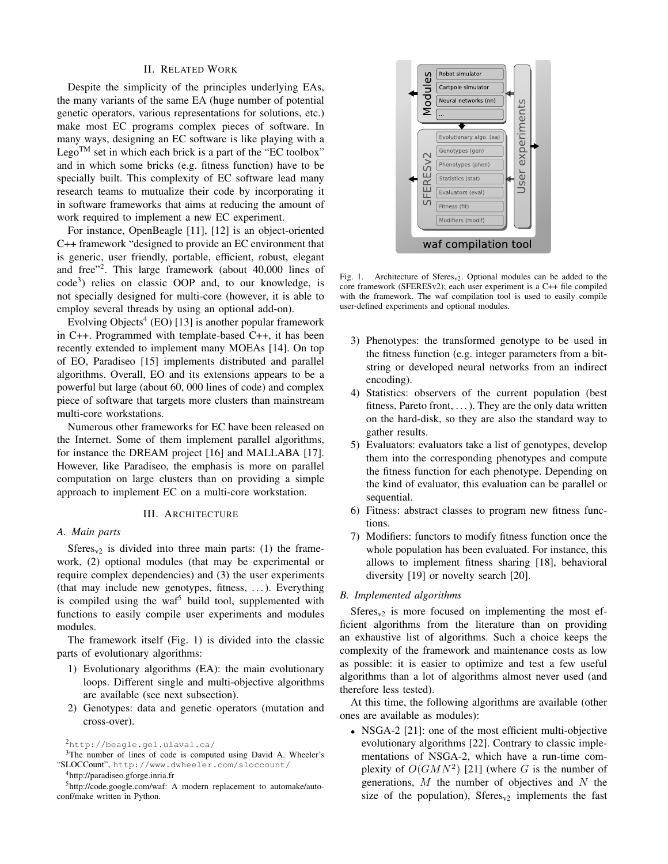## II. RELATED WORK

Despite the simplicity of the principles underlying EAs, the many variants of the same EA (huge number of potential genetic operators, various representations for solutions, etc.) make most EC programs complex pieces of software. In many ways, designing an EC software is like playing with a Lego<sup>TM</sup> set in which each brick is a part of the "EC toolbox" and in which some bricks (e.g. fitness function) have to be specially built. This complexity of EC software lead many research teams to mutualize their code by incorporating it in software frameworks that aims at reducing the amount of work required to implement a new EC experiment.

For instance, OpenBeagle [11], [12] is an object-oriented C++ framework "designed to provide an EC environment that is generic, user friendly, portable, efficient, robust, elegant and free"<sup>2</sup> . This large framework (about 40,000 lines of code<sup>3</sup>) relies on classic OOP and, to our knowledge, is not specially designed for multi-core (however, it is able to employ several threads by using an optional add-on).

Evolving Objects<sup>4</sup> (EO) [13] is another popular framework in C++. Programmed with template-based C++, it has been recently extended to implement many MOEAs [14]. On top of EO, Paradiseo [15] implements distributed and parallel algorithms. Overall, EO and its extensions appears to be a powerful but large (about 60, 000 lines of code) and complex piece of software that targets more clusters than mainstream multi-core workstations.

Numerous other frameworks for EC have been released on the Internet. Some of them implement parallel algorithms, for instance the DREAM project [16] and MALLABA [17]. However, like Paradiseo, the emphasis is more on parallel computation on large clusters than on providing a simple approach to implement EC on a multi-core workstation.

#### III. ARCHITECTURE

#### *A. Main parts*

Sferes<sub>v2</sub> is divided into three main parts: (1) the framework, (2) optional modules (that may be experimental or require complex dependencies) and (3) the user experiments (that may include new genotypes, fitness, . . . ). Everything is compiled using the waf<sup>5</sup> build tool, supplemented with functions to easily compile user experiments and modules modules.

The framework itself (Fig. 1) is divided into the classic parts of evolutionary algorithms:

- 1) Evolutionary algorithms (EA): the main evolutionary loops. Different single and multi-objective algorithms are available (see next subsection).
- 2) Genotypes: data and genetic operators (mutation and cross-over).



Fig. 1. Architecture of  $Sferes_{v2}$ . Optional modules can be added to the core framework (SFERESv2); each user experiment is a C++ file compiled with the framework. The waf compilation tool is used to easily compile user-defined experiments and optional modules.

- 3) Phenotypes: the transformed genotype to be used in the fitness function (e.g. integer parameters from a bitstring or developed neural networks from an indirect encoding).
- 4) Statistics: observers of the current population (best fitness, Pareto front,  $\dots$ ). They are the only data written on the hard-disk, so they are also the standard way to gather results.
- 5) Evaluators: evaluators take a list of genotypes, develop them into the corresponding phenotypes and compute the fitness function for each phenotype. Depending on the kind of evaluator, this evaluation can be parallel or sequential.
- 6) Fitness: abstract classes to program new fitness functions.
- 7) Modifiers: functors to modify fitness function once the whole population has been evaluated. For instance, this allows to implement fitness sharing [18], behavioral diversity [19] or novelty search [20].

#### *B. Implemented algorithms*

 $Sferes<sub>v2</sub>$  is more focused on implementing the most efficient algorithms from the literature than on providing an exhaustive list of algorithms. Such a choice keeps the complexity of the framework and maintenance costs as low as possible: it is easier to optimize and test a few useful algorithms than a lot of algorithms almost never used (and therefore less tested).

At this time, the following algorithms are available (other ones are available as modules):

• NSGA-2 [21]: one of the most efficient multi-objective evolutionary algorithms [22]. Contrary to classic implementations of NSGA-2, which have a run-time complexity of  $O(GMN^2)$  [21] (where G is the number of generations,  $M$  the number of objectives and  $N$  the size of the population), Sferes<sub>v2</sub> implements the fast

<sup>2</sup>http://beagle.gel.ulaval.ca/

<sup>&</sup>lt;sup>3</sup>The number of lines of code is computed using David A. Wheeler's "SLOCCount", http://www.dwheeler.com/sloccount/

<sup>4</sup>http://paradiseo.gforge.inria.fr

<sup>5</sup>http://code.google.com/waf: A modern replacement to automake/autoconf/make written in Python.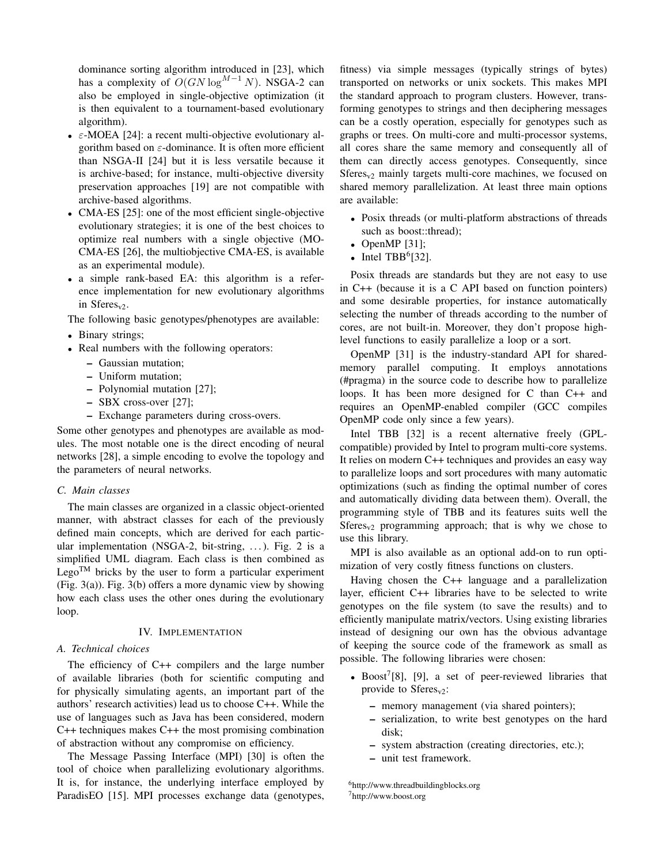dominance sorting algorithm introduced in [23], which has a complexity of  $O(GN \log^{M-1} N)$ . NSGA-2 can also be employed in single-objective optimization (it is then equivalent to a tournament-based evolutionary algorithm).

- $\epsilon$ -MOEA [24]: a recent multi-objective evolutionary algorithm based on  $\varepsilon$ -dominance. It is often more efficient than NSGA-II [24] but it is less versatile because it is archive-based; for instance, multi-objective diversity preservation approaches [19] are not compatible with archive-based algorithms.
- CMA-ES [25]: one of the most efficient single-objective evolutionary strategies; it is one of the best choices to optimize real numbers with a single objective (MO-CMA-ES [26], the multiobjective CMA-ES, is available as an experimental module).
- a simple rank-based EA: this algorithm is a reference implementation for new evolutionary algorithms in Sferes<sub>v2</sub>.

The following basic genotypes/phenotypes are available:

- Binary strings;
- Real numbers with the following operators:
	- Gaussian mutation;
	- Uniform mutation;
	- Polynomial mutation [27];
	- SBX cross-over [27];
	- Exchange parameters during cross-overs.

Some other genotypes and phenotypes are available as modules. The most notable one is the direct encoding of neural networks [28], a simple encoding to evolve the topology and the parameters of neural networks.

### *C. Main classes*

The main classes are organized in a classic object-oriented manner, with abstract classes for each of the previously defined main concepts, which are derived for each particular implementation (NSGA-2, bit-string, ...). Fig. 2 is a simplified UML diagram. Each class is then combined as Lego<sup>TM</sup> bricks by the user to form a particular experiment (Fig. 3(a)). Fig. 3(b) offers a more dynamic view by showing how each class uses the other ones during the evolutionary loop.

#### IV. IMPLEMENTATION

# *A. Technical choices*

The efficiency of C++ compilers and the large number of available libraries (both for scientific computing and for physically simulating agents, an important part of the authors' research activities) lead us to choose C++. While the use of languages such as Java has been considered, modern C++ techniques makes C++ the most promising combination of abstraction without any compromise on efficiency.

The Message Passing Interface (MPI) [30] is often the tool of choice when parallelizing evolutionary algorithms. It is, for instance, the underlying interface employed by ParadisEO [15]. MPI processes exchange data (genotypes,

fitness) via simple messages (typically strings of bytes) transported on networks or unix sockets. This makes MPI the standard approach to program clusters. However, transforming genotypes to strings and then deciphering messages can be a costly operation, especially for genotypes such as graphs or trees. On multi-core and multi-processor systems, all cores share the same memory and consequently all of them can directly access genotypes. Consequently, since  $Sferes<sub>v2</sub>$  mainly targets multi-core machines, we focused on shared memory parallelization. At least three main options are available:

- Posix threads (or multi-platform abstractions of threads such as boost::thread);
- OpenMP  $[31]$ ;
- Intel  $TBB<sup>6</sup>[32]$ .

Posix threads are standards but they are not easy to use in C++ (because it is a C API based on function pointers) and some desirable properties, for instance automatically selecting the number of threads according to the number of cores, are not built-in. Moreover, they don't propose highlevel functions to easily parallelize a loop or a sort.

OpenMP [31] is the industry-standard API for sharedmemory parallel computing. It employs annotations (#pragma) in the source code to describe how to parallelize loops. It has been more designed for C than C++ and requires an OpenMP-enabled compiler (GCC compiles OpenMP code only since a few years).

Intel TBB [32] is a recent alternative freely (GPLcompatible) provided by Intel to program multi-core systems. It relies on modern C++ techniques and provides an easy way to parallelize loops and sort procedures with many automatic optimizations (such as finding the optimal number of cores and automatically dividing data between them). Overall, the programming style of TBB and its features suits well the Sferes<sub>v2</sub> programming approach; that is why we chose to use this library.

MPI is also available as an optional add-on to run optimization of very costly fitness functions on clusters.

Having chosen the C++ language and a parallelization layer, efficient C++ libraries have to be selected to write genotypes on the file system (to save the results) and to efficiently manipulate matrix/vectors. Using existing libraries instead of designing our own has the obvious advantage of keeping the source code of the framework as small as possible. The following libraries were chosen:

- Boost<sup>7</sup>[8], [9], a set of peer-reviewed libraries that provide to  $Sferes<sub>v2</sub>$ :
	- memory management (via shared pointers);
	- serialization, to write best genotypes on the hard disk;
	- system abstraction (creating directories, etc.);
	- unit test framework.

<sup>6</sup>http://www.threadbuildingblocks.org <sup>7</sup>http://www.boost.org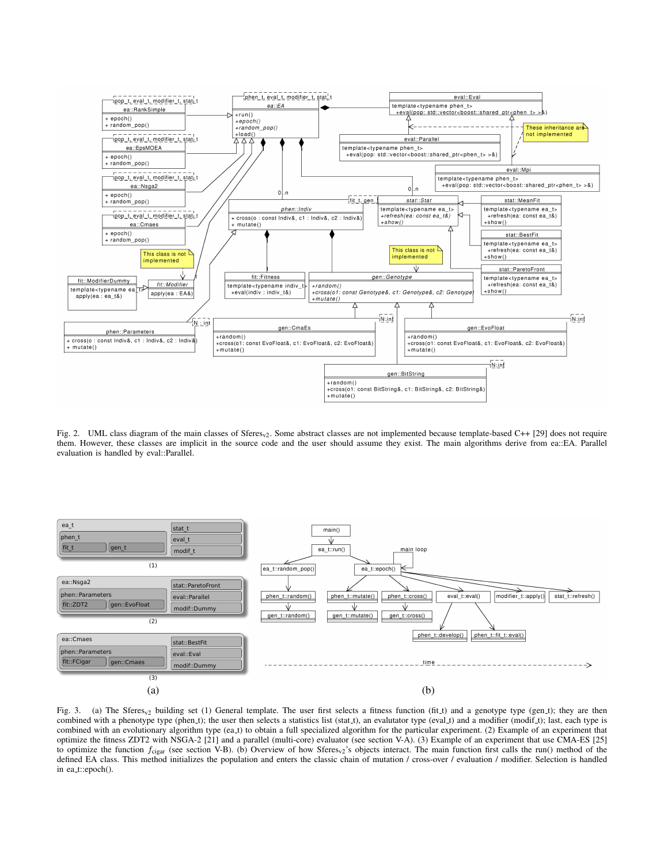

Fig. 2. UML class diagram of the main classes of Sferes<sub>v2</sub>. Some abstract classes are not implemented because template-based C++ [29] does not require them. However, these classes are implicit in the source code and the user should assume they exist. The main algorithms derive from ea::EA. Parallel evaluation is handled by eval::Parallel.



Fig. 3. (a) The Sferes<sub>v2</sub> building set (1) General template. The user first selects a fitness function (fit t) and a genotype type (gen t); they are then combined with a phenotype type (phen.t); the user then selects a statistics list (stat.t), an evalutator type (eval.t) and a modifier (modif.t); last, each type is combined with an evolutionary algorithm type (ea t) to obtain a full specialized algorithm for the particular experiment. (2) Example of an experiment that optimize the fitness ZDT2 with NSGA-2 [21] and a parallel (multi-core) evaluator (see section V-A). (3) Example of an experiment that use CMA-ES [25] to optimize the function  $f_{\text{cigar}}$  (see section V-B). (b) Overview of how Sferes<sub>v2</sub>'s objects interact. The main function first calls the run() method of the defined EA class. This method initializes the population and enters the classic chain of mutation / cross-over / evaluation / modifier. Selection is handled in ea\_t::epoch().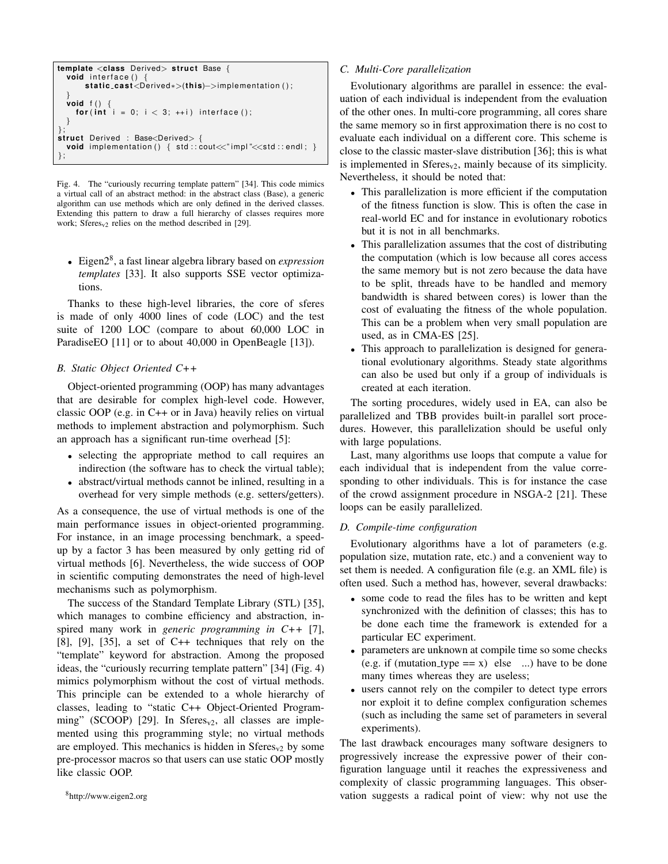```
template <class Derived> struct Base {
  void interface ()
      static_cast<Derived<sub>*></sub>(this)–>implementation();
  }
  void f()for (int i = 0; i < 3; +i) interface ();
  }
};
struct Derived : Base<Derived> {
 void implementation () { std :: cout << " impl" << std :: endl; }
};
```
Fig. 4. The "curiously recurring template pattern" [34]. This code mimics a virtual call of an abstract method: in the abstract class (Base), a generic algorithm can use methods which are only defined in the derived classes. Extending this pattern to draw a full hierarchy of classes requires more work; Sferes<sub>v2</sub> relies on the method described in [29].

• Eigen2<sup>8</sup> , a fast linear algebra library based on *expression templates* [33]. It also supports SSE vector optimizations.

Thanks to these high-level libraries, the core of sferes is made of only 4000 lines of code (LOC) and the test suite of 1200 LOC (compare to about 60,000 LOC in ParadiseEO [11] or to about 40,000 in OpenBeagle [13]).

# *B. Static Object Oriented C++*

Object-oriented programming (OOP) has many advantages that are desirable for complex high-level code. However, classic OOP (e.g. in C++ or in Java) heavily relies on virtual methods to implement abstraction and polymorphism. Such an approach has a significant run-time overhead [5]:

- selecting the appropriate method to call requires an indirection (the software has to check the virtual table);
- abstract/virtual methods cannot be inlined, resulting in a overhead for very simple methods (e.g. setters/getters).

As a consequence, the use of virtual methods is one of the main performance issues in object-oriented programming. For instance, in an image processing benchmark, a speedup by a factor 3 has been measured by only getting rid of virtual methods [6]. Nevertheless, the wide success of OOP in scientific computing demonstrates the need of high-level mechanisms such as polymorphism.

The success of the Standard Template Library (STL) [35], which manages to combine efficiency and abstraction, inspired many work in *generic programming in C++* [7], [8], [9], [35], a set of  $C++$  techniques that rely on the "template" keyword for abstraction. Among the proposed ideas, the "curiously recurring template pattern" [34] (Fig. 4) mimics polymorphism without the cost of virtual methods. This principle can be extended to a whole hierarchy of classes, leading to "static C++ Object-Oriented Programming" (SCOOP) [29]. In Sferes<sub>v2</sub>, all classes are implemented using this programming style; no virtual methods are employed. This mechanics is hidden in  $Sferes<sub>v2</sub>$  by some pre-processor macros so that users can use static OOP mostly like classic OOP.

# *C. Multi-Core parallelization*

Evolutionary algorithms are parallel in essence: the evaluation of each individual is independent from the evaluation of the other ones. In multi-core programming, all cores share the same memory so in first approximation there is no cost to evaluate each individual on a different core. This scheme is close to the classic master-slave distribution [36]; this is what is implemented in  $Sferes_{v2}$ , mainly because of its simplicity. Nevertheless, it should be noted that:

- This parallelization is more efficient if the computation of the fitness function is slow. This is often the case in real-world EC and for instance in evolutionary robotics but it is not in all benchmarks.
- This parallelization assumes that the cost of distributing the computation (which is low because all cores access the same memory but is not zero because the data have to be split, threads have to be handled and memory bandwidth is shared between cores) is lower than the cost of evaluating the fitness of the whole population. This can be a problem when very small population are used, as in CMA-ES [25].
- This approach to parallelization is designed for generational evolutionary algorithms. Steady state algorithms can also be used but only if a group of individuals is created at each iteration.

The sorting procedures, widely used in EA, can also be parallelized and TBB provides built-in parallel sort procedures. However, this parallelization should be useful only with large populations.

Last, many algorithms use loops that compute a value for each individual that is independent from the value corresponding to other individuals. This is for instance the case of the crowd assignment procedure in NSGA-2 [21]. These loops can be easily parallelized.

## *D. Compile-time configuration*

Evolutionary algorithms have a lot of parameters (e.g. population size, mutation rate, etc.) and a convenient way to set them is needed. A configuration file (e.g. an XML file) is often used. Such a method has, however, several drawbacks:

- some code to read the files has to be written and kept synchronized with the definition of classes; this has to be done each time the framework is extended for a particular EC experiment.
- parameters are unknown at compile time so some checks (e.g. if (mutation\_type ==  $x$ ) else ...) have to be done many times whereas they are useless;
- users cannot rely on the compiler to detect type errors nor exploit it to define complex configuration schemes (such as including the same set of parameters in several experiments).

The last drawback encourages many software designers to progressively increase the expressive power of their configuration language until it reaches the expressiveness and complexity of classic programming languages. This observation suggests a radical point of view: why not use the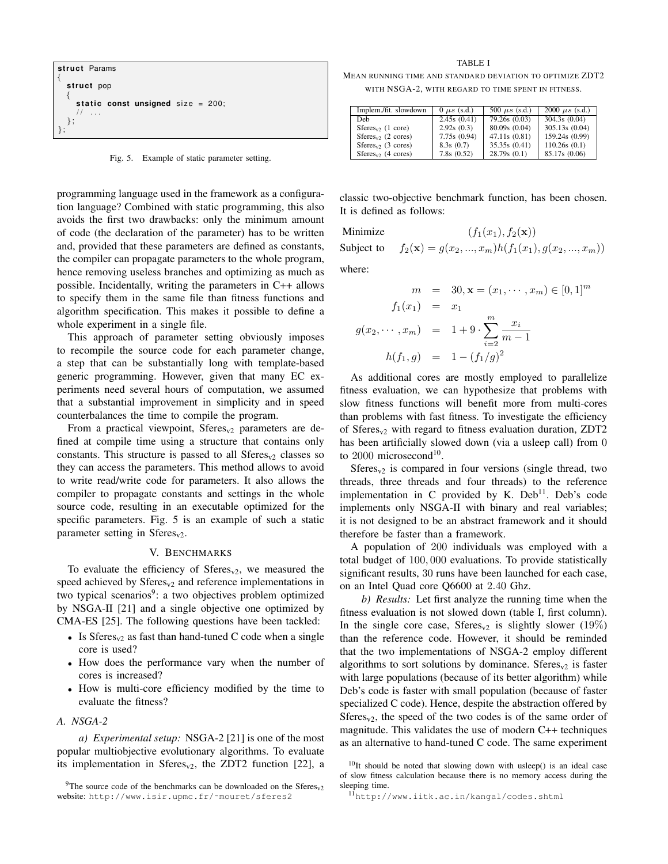

Fig. 5. Example of static parameter setting.

programming language used in the framework as a configuration language? Combined with static programming, this also avoids the first two drawbacks: only the minimum amount of code (the declaration of the parameter) has to be written and, provided that these parameters are defined as constants, the compiler can propagate parameters to the whole program, hence removing useless branches and optimizing as much as possible. Incidentally, writing the parameters in C++ allows to specify them in the same file than fitness functions and algorithm specification. This makes it possible to define a whole experiment in a single file.

This approach of parameter setting obviously imposes to recompile the source code for each parameter change, a step that can be substantially long with template-based generic programming. However, given that many EC experiments need several hours of computation, we assumed that a substantial improvement in simplicity and in speed counterbalances the time to compile the program.

From a practical viewpoint,  $Sferes<sub>v2</sub>$  parameters are defined at compile time using a structure that contains only constants. This structure is passed to all  $Sferes<sub>v2</sub>$  classes so they can access the parameters. This method allows to avoid to write read/write code for parameters. It also allows the compiler to propagate constants and settings in the whole source code, resulting in an executable optimized for the specific parameters. Fig. 5 is an example of such a static parameter setting in  $Sferes<sub>v2</sub>$ .

#### V. BENCHMARKS

To evaluate the efficiency of  $Sferes<sub>v2</sub>$ , we measured the speed achieved by  $Sferes_{v2}$  and reference implementations in two typical scenarios<sup>9</sup>: a two objectives problem optimized by NSGA-II [21] and a single objective one optimized by CMA-ES [25]. The following questions have been tackled:

- Is Sferes<sub>v2</sub> as fast than hand-tuned C code when a single core is used?
- How does the performance vary when the number of cores is increased?
- How is multi-core efficiency modified by the time to evaluate the fitness?

# *A. NSGA-2*

*a) Experimental setup:* NSGA-2 [21] is one of the most popular multiobjective evolutionary algorithms. To evaluate its implementation in Sferes<sub>v2</sub>, the ZDT2 function [22], a

TABLE I

MEAN RUNNING TIME AND STANDARD DEVIATION TO OPTIMIZE ZDT2 WITH NSGA-2, WITH REGARD TO TIME SPENT IN FITNESS.

| Implem./fit. slowdown | $0 \mu s$ (s.d.) | 500 $\mu s$ (s.d.) | 2000 $\mu s$ (s.d.) |
|-----------------------|------------------|--------------------|---------------------|
| Deb                   | 2.45s(0.41)      | 79.26s (0.03)      | 304.3s(0.04)        |
| $Sferes_v$ (1 core)   | 2.92s(0.3)       | 80.09s (0.04)      | 305.13s (0.04)      |
| $Sferes_v$ (2 cores)  | 7.75s(0.94)      | 47.11s(0.81)       | 159.24s (0.99)      |
| $Sferesv2$ (3 cores)  | 8.3s(0.7)        | 35.35s(0.41)       | 110.26s(0.1)        |
| $Sferesv2$ (4 cores)  | 7.8s(0.52)       | 28.79s(0.1)        | 85.17s (0.06)       |

classic two-objective benchmark function, has been chosen. It is defined as follows:

Minimize  $(f_1(x_1), f_2(\mathbf{x}))$ Subject to  $f_2(\mathbf{x}) = g(x_2, ..., x_m)h(f_1(x_1), g(x_2, ..., x_m))$ where:

$$
m = 30, \mathbf{x} = (x_1, \dots, x_m) \in [0, 1]^m
$$

$$
f_1(x_1) = x_1
$$

$$
g(x_2, \dots, x_m) = 1 + 9 \cdot \sum_{i=2}^m \frac{x_i}{m-1}
$$

$$
h(f_1, g) = 1 - (f_1/g)^2
$$

As additional cores are mostly employed to parallelize fitness evaluation, we can hypothesize that problems with slow fitness functions will benefit more from multi-cores than problems with fast fitness. To investigate the efficiency of Sferes<sub>v2</sub> with regard to fitness evaluation duration, ZDT2 has been artificially slowed down (via a usleep call) from 0 to 2000 microsecond<sup>10</sup>.

 $Sferes<sub>v2</sub>$  is compared in four versions (single thread, two threads, three threads and four threads) to the reference implementation in C provided by K. Deb<sup>11</sup>. Deb's code implements only NSGA-II with binary and real variables; it is not designed to be an abstract framework and it should therefore be faster than a framework.

A population of 200 individuals was employed with a total budget of 100, 000 evaluations. To provide statistically significant results, 30 runs have been launched for each case, on an Intel Quad core Q6600 at 2.40 Ghz.

*b) Results:* Let first analyze the running time when the fitness evaluation is not slowed down (table I, first column). In the single core case, Sferes<sub>v2</sub> is slightly slower  $(19\%)$ than the reference code. However, it should be reminded that the two implementations of NSGA-2 employ different algorithms to sort solutions by dominance. Sferes<sub>v2</sub> is faster with large populations (because of its better algorithm) while Deb's code is faster with small population (because of faster specialized C code). Hence, despite the abstraction offered by  $Sferes<sub>v2</sub>$ , the speed of the two codes is of the same order of magnitude. This validates the use of modern C++ techniques as an alternative to hand-tuned C code. The same experiment

<sup>11</sup>http://www.iitk.ac.in/kangal/codes.shtml

<sup>&</sup>lt;sup>9</sup>The source code of the benchmarks can be downloaded on the  $Sferes<sub>v2</sub>$ website: http://www.isir.upmc.fr/~mouret/sferes2

 $10$ It should be noted that slowing down with usleep() is an ideal case of slow fitness calculation because there is no memory access during the sleeping time.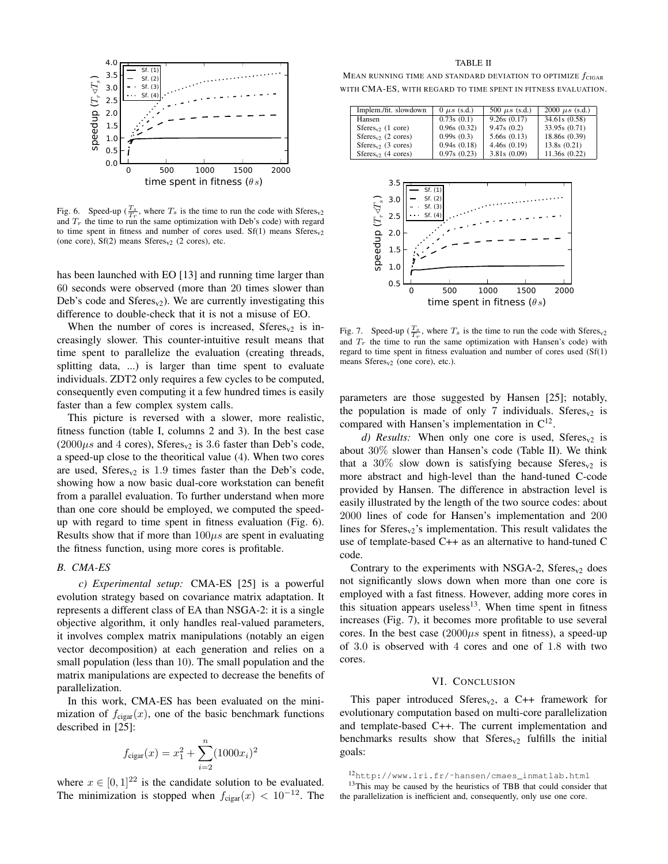

Fig. 6. Speed-up  $(\frac{T_s}{T_r})$ , where  $T_s$  is the time to run the code with Sferes<sub>v2</sub> and  $T_r$  the time to run the same optimization with Deb's code) with regard to time spent in fitness and number of cores used.  $Sf(1)$  means  $Sferes<sub>v2</sub>$ (one core),  $Sf(2)$  means  $Sferes<sub>v2</sub>$  (2 cores), etc.

has been launched with EO [13] and running time larger than 60 seconds were observed (more than 20 times slower than Deb's code and  $Sferes_{v2}$ ). We are currently investigating this difference to double-check that it is not a misuse of EO.

When the number of cores is increased,  $Sferes<sub>v2</sub>$  is increasingly slower. This counter-intuitive result means that time spent to parallelize the evaluation (creating threads, splitting data, ...) is larger than time spent to evaluate individuals. ZDT2 only requires a few cycles to be computed, consequently even computing it a few hundred times is easily faster than a few complex system calls.

This picture is reversed with a slower, more realistic, fitness function (table I, columns 2 and 3). In the best case  $(2000\mu s$  and 4 cores), Sferes<sub>v2</sub> is 3.6 faster than Deb's code, a speed-up close to the theoritical value (4). When two cores are used,  $Sferes_{v2}$  is 1.9 times faster than the Deb's code, showing how a now basic dual-core workstation can benefit from a parallel evaluation. To further understand when more than one core should be employed, we computed the speedup with regard to time spent in fitness evaluation (Fig. 6). Results show that if more than  $100\mu s$  are spent in evaluating the fitness function, using more cores is profitable.

### *B. CMA-ES*

*c) Experimental setup:* CMA-ES [25] is a powerful evolution strategy based on covariance matrix adaptation. It represents a different class of EA than NSGA-2: it is a single objective algorithm, it only handles real-valued parameters, it involves complex matrix manipulations (notably an eigen vector decomposition) at each generation and relies on a small population (less than 10). The small population and the matrix manipulations are expected to decrease the benefits of parallelization.

In this work, CMA-ES has been evaluated on the minimization of  $f_{\text{cigar}}(x)$ , one of the basic benchmark functions described in [25]:

$$
f_{\text{cigar}}(x) = x_1^2 + \sum_{i=2}^{n} (1000x_i)^2
$$

where  $x \in [0, 1]^{22}$  is the candidate solution to be evaluated. The minimization is stopped when  $f_{\text{cigar}}(x) < 10^{-12}$ . The

MEAN RUNNING TIME AND STANDARD DEVIATION TO OPTIMIZE  $f_{\text{CIGAR}}$ WITH CMA-ES, WITH REGARD TO TIME SPENT IN FITNESS EVALUATION.

| Implem./fit. slowdown | $0 \mu s$ (s.d.) | 500 $\mu s$ (s.d.) | 2000 $\mu s$ (s.d.) |
|-----------------------|------------------|--------------------|---------------------|
| Hansen                | 0.73s(0.1)       | 9.26s(0.17)        | 34.61s (0.58)       |
| $Sferes_v$ (1 core)   | 0.96s(0.32)      | 9.47s(0.2)         | 33.95s (0.71)       |
| $Sferes_v$ (2 cores)  | 0.99s(0.3)       | 5.66s(0.13)        | 18.86s (0.39)       |
| $Sferesv2$ (3 cores)  | 0.94s(0.18)      | 4.46s(0.19)        | 13.8s(0.21)         |
| $Sferesv2$ (4 cores)  | 0.97s(0.23)      | 3.81s(0.09)        | 11.36s(0.22)        |
|                       |                  |                    |                     |



Fig. 7. Speed-up  $(\frac{T_s}{T_r})$ , where  $T_s$  is the time to run the code with Sferes<sub>v2</sub> and  $T_r$  the time to run the same optimization with Hansen's code) with regard to time spent in fitness evaluation and number of cores used (Sf(1) means  $Sferes<sub>v2</sub>$  (one core), etc.).

parameters are those suggested by Hansen [25]; notably, the population is made of only 7 individuals. Sferes<sub>v2</sub> is compared with Hansen's implementation in  $C^{12}$ .

*d) Results:* When only one core is used, Sferes<sub>v2</sub> is about 30% slower than Hansen's code (Table II). We think that a 30% slow down is satisfying because  $Sferes<sub>v2</sub>$  is more abstract and high-level than the hand-tuned C-code provided by Hansen. The difference in abstraction level is easily illustrated by the length of the two source codes: about 2000 lines of code for Hansen's implementation and 200 lines for  $Sferes_{v2}$ 's implementation. This result validates the use of template-based C++ as an alternative to hand-tuned C code.

Contrary to the experiments with NSGA-2,  $Sferes<sub>v2</sub>$  does not significantly slows down when more than one core is employed with a fast fitness. However, adding more cores in this situation appears useless<sup>13</sup>. When time spent in fitness increases (Fig. 7), it becomes more profitable to use several cores. In the best case  $(2000\mu s)$  spent in fitness), a speed-up of 3.0 is observed with 4 cores and one of 1.8 with two cores.

# VI. CONCLUSION

This paper introduced  $Sferes_{v2}$ , a C++ framework for evolutionary computation based on multi-core parallelization and template-based C++. The current implementation and benchmarks results show that  $Sferes<sub>v2</sub>$  fulfills the initial goals:

<sup>12</sup>http://www.lri.fr/˜hansen/cmaes\_inmatlab.html <sup>13</sup>This may be caused by the heuristics of TBB that could consider that the parallelization is inefficient and, consequently, only use one core.